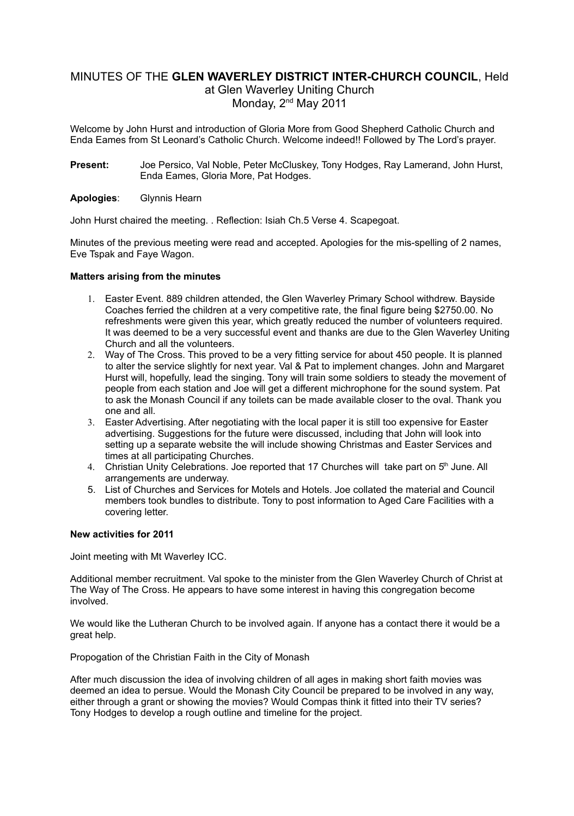# MINUTES OF THE **GLEN WAVERLEY DISTRICT INTER-CHURCH COUNCIL**, Held at Glen Waverley Uniting Church Monday, 2<sup>nd</sup> May 2011

Welcome by John Hurst and introduction of Gloria More from Good Shepherd Catholic Church and Enda Eames from St Leonard's Catholic Church. Welcome indeed!! Followed by The Lord's prayer.

**Present:** Joe Persico, Val Noble, Peter McCluskey, Tony Hodges, Ray Lamerand, John Hurst, Enda Eames, Gloria More, Pat Hodges.

#### **Apologies**: Glynnis Hearn

John Hurst chaired the meeting. . Reflection: Isiah Ch.5 Verse 4. Scapegoat.

Minutes of the previous meeting were read and accepted. Apologies for the mis-spelling of 2 names, Eve Tspak and Faye Wagon.

#### **Matters arising from the minutes**

- 1. Easter Event. 889 children attended, the Glen Waverley Primary School withdrew. Bayside Coaches ferried the children at a very competitive rate, the final figure being \$2750.00. No refreshments were given this year, which greatly reduced the number of volunteers required. It was deemed to be a very successful event and thanks are due to the Glen Waverley Uniting Church and all the volunteers.
- 2. Way of The Cross. This proved to be a very fitting service for about 450 people. It is planned to alter the service slightly for next year. Val & Pat to implement changes. John and Margaret Hurst will, hopefully, lead the singing. Tony will train some soldiers to steady the movement of people from each station and Joe will get a different michrophone for the sound system. Pat to ask the Monash Council if any toilets can be made available closer to the oval. Thank you one and all.
- 3. Easter Advertising. After negotiating with the local paper it is still too expensive for Easter advertising. Suggestions for the future were discussed, including that John will look into setting up a separate website the will include showing Christmas and Easter Services and times at all participating Churches.
- 4. Christian Unity Celebrations. Joe reported that 17 Churches will take part on 5<sup>th</sup> June. All arrangements are underway.
- 5. List of Churches and Services for Motels and Hotels. Joe collated the material and Council members took bundles to distribute. Tony to post information to Aged Care Facilities with a covering letter.

#### **New activities for 2011**

Joint meeting with Mt Waverley ICC.

Additional member recruitment. Val spoke to the minister from the Glen Waverley Church of Christ at The Way of The Cross. He appears to have some interest in having this congregation become involved.

We would like the Lutheran Church to be involved again. If anyone has a contact there it would be a great help.

Propogation of the Christian Faith in the City of Monash

After much discussion the idea of involving children of all ages in making short faith movies was deemed an idea to persue. Would the Monash City Council be prepared to be involved in any way, either through a grant or showing the movies? Would Compas think it fitted into their TV series? Tony Hodges to develop a rough outline and timeline for the project.